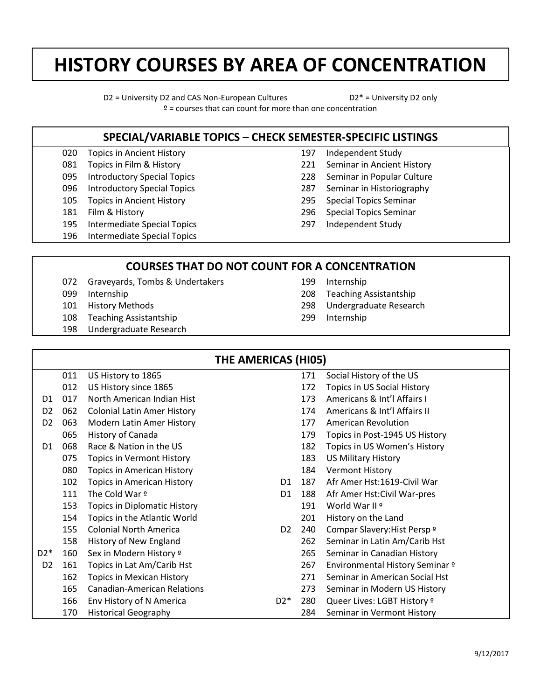## **HISTORY COURSES BY AREA OF CONCENTRATION**

D2 = University D2 and CAS Non-European Cultures D2\* = University D2 only  $\frac{9}{2}$  = courses that can count for more than one concentration

## **SPECIAL/VARIABLE TOPICS – CHECK SEMESTER-SPECIFIC LISTINGS**

- 020 Topics in Ancient History
- 081 Topics in Film & History
- 095 Introductory Special Topics
- 096 Introductory Special Topics
- 105 Topics in Ancient History
- 181 Film & History
- 195 Intermediate Special Topics
- 196 Intermediate Special Topics
- 197 Independent Study
- 221 Seminar in Ancient History
- 228 Seminar in Popular Culture
- 287 Seminar in Historiography
- 295 Special Topics Seminar
- 296 Special Topics Seminar
- 297 Independent Study

## **COURSES THAT DO NOT COUNT FOR A CONCENTRATION**

- 072 Graveyards, Tombs & Undertakers
- 099 Internship
- 101 History Methods
- 108 Teaching Assistantship
- 198 Undergraduate Research
- 199 208 Internship Teaching Assistantship
	- 298 Undergraduate Research
	- 299 Internship

| THE AMERICAS (HI05) |     |                                     |                |     |                                 |
|---------------------|-----|-------------------------------------|----------------|-----|---------------------------------|
|                     | 011 | US History to 1865                  |                | 171 | Social History of the US        |
|                     | 012 | US History since 1865               |                | 172 | Topics in US Social History     |
| D1                  | 017 | North American Indian Hist          |                | 173 | Americans & Int'l Affairs I     |
| D <sub>2</sub>      | 062 | <b>Colonial Latin Amer History</b>  |                | 174 | Americans & Int'l Affairs II    |
| D <sub>2</sub>      | 063 | Modern Latin Amer History           |                | 177 | <b>American Revolution</b>      |
|                     | 065 | History of Canada                   |                | 179 | Topics in Post-1945 US History  |
| D <sub>1</sub>      | 068 | Race & Nation in the US             |                | 182 | Topics in US Women's History    |
|                     | 075 | <b>Topics in Vermont History</b>    |                | 183 | <b>US Military History</b>      |
|                     | 080 | <b>Topics in American History</b>   |                | 184 | <b>Vermont History</b>          |
|                     | 102 | <b>Topics in American History</b>   | D1.            | 187 | Afr Amer Hst:1619-Civil War     |
|                     | 111 | The Cold War º                      | D <sub>1</sub> | 188 | Afr Amer Hst: Civil War-pres    |
|                     | 153 | <b>Topics in Diplomatic History</b> |                | 191 | World War II º                  |
|                     | 154 | Topics in the Atlantic World        |                | 201 | History on the Land             |
|                     | 155 | <b>Colonial North America</b>       | D <sub>2</sub> | 240 | Compar Slavery: Hist Persp º    |
|                     | 158 | History of New England              |                | 262 | Seminar in Latin Am/Carib Hst   |
| $D2*$               | 160 | Sex in Modern History º             |                | 265 | Seminar in Canadian History     |
| D <sub>2</sub>      | 161 | Topics in Lat Am/Carib Hst          |                | 267 | Environmental History Seminar º |
|                     | 162 | Topics in Mexican History           |                | 271 | Seminar in American Social Hst  |
|                     | 165 | <b>Canadian-American Relations</b>  |                | 273 | Seminar in Modern US History    |
|                     | 166 | Env History of N America            | $D2^*$         | 280 | Queer Lives: LGBT History º     |
|                     | 170 | <b>Historical Geography</b>         |                | 284 | Seminar in Vermont History      |